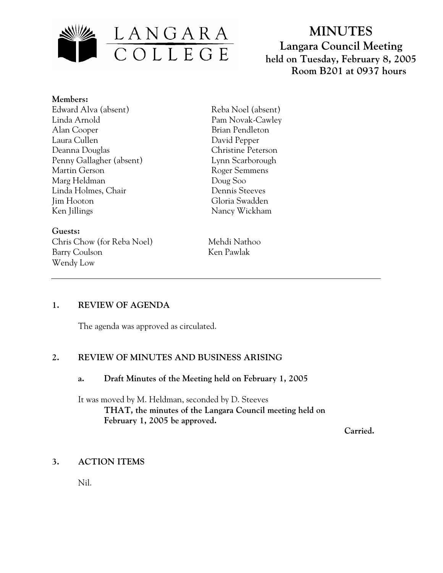

# **MINUTES Langara Council Meeting held on Tuesday, February 8, 2005 Room B201 at 0937 hours**

- **Members:** Edward Alva (absent)
- Linda Arnold Alan Cooper Laura Cullen Deanna Douglas Penny Gallagher (absent) Martin Gerson Marg Heldman Linda Holmes, Chair Jim Hooton Ken Jillings

**Guests:**  Chris Chow (for Reba Noel) Mehdi Nathoo Barry Coulson Ken Pawlak Wendy Low

Reba Noel (absent) Pam Novak-Cawley Brian Pendleton David Pepper Christine Peterson Lynn Scarborough Roger Semmens Doug Soo Dennis Steeves Gloria Swadden Nancy Wickham

## **1. REVIEW OF AGENDA**

The agenda was approved as circulated.

#### **2. REVIEW OF MINUTES AND BUSINESS ARISING**

#### **a. Draft Minutes of the Meeting held on February 1, 2005**

It was moved by M. Heldman, seconded by D. Steeves **THAT, the minutes of the Langara Council meeting held on February 1, 2005 be approved.** 

 **Carried.** 

#### **3. ACTION ITEMS**

Nil.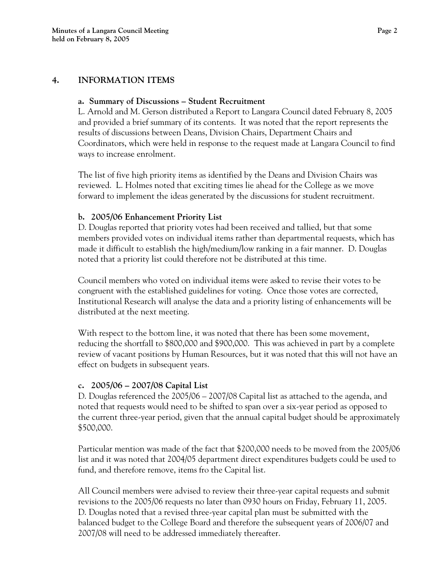### **a. Summary of Discussions – Student Recruitment**

L. Arnold and M. Gerson distributed a Report to Langara Council dated February 8, 2005 and provided a brief summary of its contents. It was noted that the report represents the results of discussions between Deans, Division Chairs, Department Chairs and Coordinators, which were held in response to the request made at Langara Council to find ways to increase enrolment.

The list of five high priority items as identified by the Deans and Division Chairs was reviewed. L. Holmes noted that exciting times lie ahead for the College as we move forward to implement the ideas generated by the discussions for student recruitment.

## **b. 2005/06 Enhancement Priority List**

D. Douglas reported that priority votes had been received and tallied, but that some members provided votes on individual items rather than departmental requests, which has made it difficult to establish the high/medium/low ranking in a fair manner. D. Douglas noted that a priority list could therefore not be distributed at this time.

Council members who voted on individual items were asked to revise their votes to be congruent with the established guidelines for voting. Once those votes are corrected, Institutional Research will analyse the data and a priority listing of enhancements will be distributed at the next meeting.

With respect to the bottom line, it was noted that there has been some movement, reducing the shortfall to \$800,000 and \$900,000. This was achieved in part by a complete review of vacant positions by Human Resources, but it was noted that this will not have an effect on budgets in subsequent years.

## **c. 2005/06 – 2007/08 Capital List**

D. Douglas referenced the 2005/06 – 2007/08 Capital list as attached to the agenda, and noted that requests would need to be shifted to span over a six-year period as opposed to the current three-year period, given that the annual capital budget should be approximately \$500,000.

Particular mention was made of the fact that \$200,000 needs to be moved from the 2005/06 list and it was noted that 2004/05 department direct expenditures budgets could be used to fund, and therefore remove, items fro the Capital list.

All Council members were advised to review their three-year capital requests and submit revisions to the 2005/06 requests no later than 0930 hours on Friday, February 11, 2005. D. Douglas noted that a revised three-year capital plan must be submitted with the balanced budget to the College Board and therefore the subsequent years of 2006/07 and 2007/08 will need to be addressed immediately thereafter.